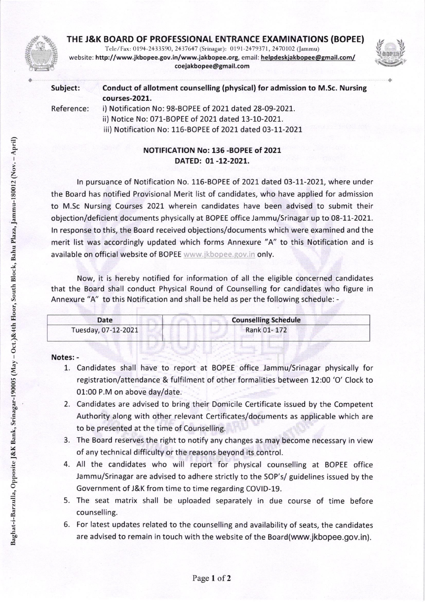## THE J&K BOARD OF PROFESSIONAL ENTRANCE EXAMINATIONS (BOPEE)



Tele/Fax: 0194-2433590, 2437647 (Srinagar): 0191-2479371, 2470102 (Jammu) website: http://www.jkbopee.gov.in/www.jakbopee.org, email: helpdeskjakbopee@gmail.com/ coeiakbopee@gmail.com



| Subject:   | Conduct of allotment counselling (physical) for admission to M.Sc. Nursing<br>courses-2021. |
|------------|---------------------------------------------------------------------------------------------|
| Reference: | i) Notification No: 98-BOPEE of 2021 dated 28-09-2021.                                      |
|            | ii) Notice No: 071-BOPEE of 2021 dated 13-10-2021.                                          |
|            | iii) Notification No: 116-BOPEE of 2021 dated 03-11-2021                                    |

## NOTIFICATION No: 136 -BOPEE of 2021 DATED: 01 -12-2O2L.

In pursuance of Notification No. 116-BOPEE of 2021 dated 03-11-2021, where under the Board has notified Provisional Merit list of candidates, who have applied for admission to M.Sc Nursing Courses 2021 wherein candidates have been advised to submit their objection/deficient documents physically at BOPEE office Jammu/Srinagar up to 08-11-2021. ln response to this, the Board received objections/documents which were examined and the merit list was accordingly updated which forms Annexure "A" to this Notification and is available on official website of BOPEE www.jkbopee.gov.in only.

Now, it is hereby notified for information of all the eligible concerned candidates that the Board shall conduct Physical Round of Counselling for candidates who figure in Annexure "A" to this Notification and shall be held as per the following schedule: -

| Date                | <b>Counselling Schedule</b> |
|---------------------|-----------------------------|
| Tuesday, 07-12-2021 | Rank 01-172                 |
|                     |                             |

## Notes:

- 1. Candidates shall have to report at BOPEE office Jammu/Srinagar physically for registration/attenda nce & fulfilment of other formalities between 12:OO'O' Clock to 01:00 P.M on above day/date.
- Candidates are advised to bring their Domicile Certificate issued by the Competent 2 Authority along with other relevant Certificates/documents as applicable which are to be presented at the time of Counselling.
- The Board reserves the right to notify any changes as may become necessary in view 3 of any technical difficulty or the reasons beyond its control.
- 4. All the candidates who will report for physical counselling at BOPEE office Jammu/Srinagar are advised to adhere strictly to the SOP's/ guidelines issued by the Government of J&K from time to time regarding COVID-19.
- 5. The seat matrix shall be uploaded separately in due course of time before counselling.
- 6. For latest updates related to the counselling and availability of seats, the candidates are advised to remain in touch with the website of the Board(www.jkbopee.gov.in).